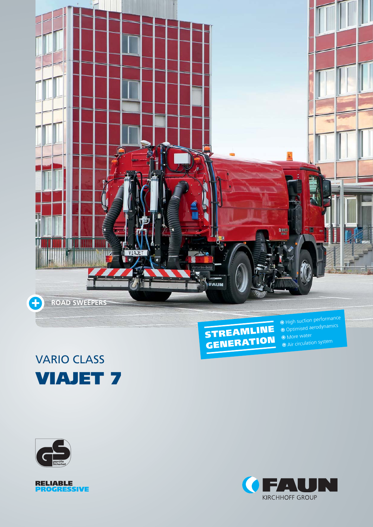

## VARIO CLASS **VIAJET 7**



 Optimised aerodynamics **More water**  $\odot$  Air circulation system





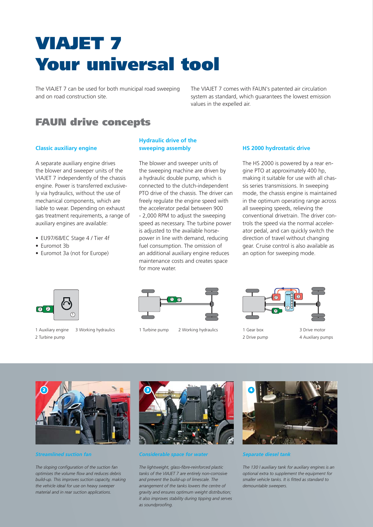# **VIAJET 7 Your universal tool**

The VIAJET 7 can be used for both municipal road sweeping and on road construction site.

The VIAJET 7 comes with FAUN's patented air circulation system as standard, which guarantees the lowest emission values in the expelled air.

### **FAUN drive concepts**

#### **Classic auxiliary engine**

A separate auxiliary engine drives the blower and sweeper units of the VIAJET 7 independently of the chassis engine. Power is transferred exclusively via hydraulics, without the use of mechanical components, which are liable to wear. Depending on exhaust gas treatment requirements, a range of auxiliary engines are available:

- EU97/68/EC Stage 4 / Tier 4f
- Euromot 3b
- Euromot 3a (not for Europe)

#### **Hydraulic drive of the sweeping assembly**

The blower and sweeper units of the sweeping machine are driven by a hydraulic double pump, which is connected to the clutch-independent PTO drive of the chassis. The driver can freely regulate the engine speed with the accelerator pedal between 900 - 2,000 RPM to adjust the sweeping speed as necessary. The turbine power is adjusted to the available horsepower in line with demand, reducing fuel consumption. The omission of an additional auxiliary engine reduces maintenance costs and creates space for more water.

#### **HS 2000 hydrostatic drive**

The HS 2000 is powered by a rear engine PTO at approximately 400 hp, making it suitable for use with all chassis series transmissions. In sweeping mode, the chassis engine is maintained in the optimum operating range across all sweeping speeds, relieving the conventional drivetrain. The driver controls the speed via the normal accelerator pedal, and can quickly switch the direction of travel without changing gear. Cruise control is also available as an option for sweeping mode.



1 Auxiliary engine 2 Turbine pump



3 Working hydraulics and 1 Turbine pump 2 Working hydraulics and 1 Gear box 3 Drive motor



- 1 Gear box 2 Drive pump
- 4 Auxiliary pumps



*Streamlined suction fan*

*The sloping configuration of the suction fan optimises the volume flow and reduces debris build-up. This improves suction capacity, making the vehicle ideal for use on heavy sweeper material and in rear suction applications.* 



#### *Considerable space for water*

*The lightweight, glass-fibre-reinforced plastic tanks of the VIAJET 7 are entirely non-corrosive and prevent the build-up of limescale. The arrangement of the tanks lowers the centre of gravity and ensures optimum weight distribution; it also improves stability during tipping and serves as soundproofing.* 



*Separate diesel tank*

*The 130 l auxiliary tank for auxiliary engines is an optional extra to supplement the equipment for smaller vehicle tanks. It is fitted as standard to demountable sweepers.*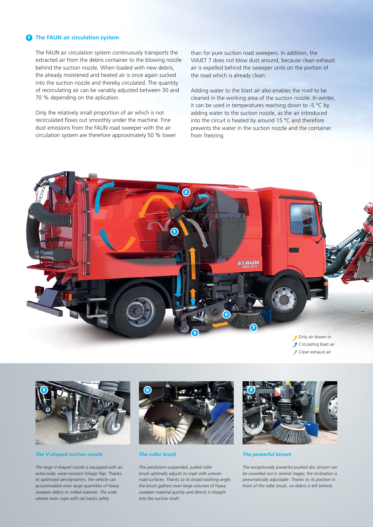#### **1 The FAUN air circulation system**

The FAUN air circulation system continuously transports the extracted air from the debris container to the blowing nozzle behind the suction nozzle. When loaded with new debris, the already moistened and heated air is once again sucked into the suction nozzle and thereby circulated. The quantity of recirculating air can be variably adjusted between 30 and 70 % depending on the aplication.

Only the relatively small proportion of air which is not recirculated flows out smoothly under the machine. Fine dust emissions from the FAUN road sweeper with the air circulation system are therefore approximately 50 % lower than for pure suction road sweepers. In addition, the VIAJET 7 does not blow dust around, because clean exhaust air is expelled behind the sweeper units on the portion of the road which is already clean.

Adding water to the blast air also enables the road to be cleaned in the working area of the suction nozzle. In winter, it can be used in temperatures reaching down to -5 °C by adding water to the suction nozzle, as the air introduced into the circuit is heated by around 15 °C and therefore prevents the water in the suction nozzle and the container from freezing.



- Clean exhaust air
- 



*The V-shaped suction nozzle*

*The large V-shaped nozzle is equipped with an extra-wide, wear-resistant foliage flap. Thanks to optimised aerodynamics, the vehicle can accommodate even large quantities of heavy sweeper debris or milled material. The wide wheels even cope with rail tracks safely.*



*The roller brush*

*The pendulum-suspended, pulled roller brush optimally adjusts to cope with uneven road surfaces. Thanks to its broad working angle, the brush gathers even large volumes of heavy sweeper material quickly and directs it straight into the suction shaft.*



#### *The powerful broom*

*The exceptionally powerful pushed disc broom can be swivelled out in several stages; the inclination is pneumatically adjustable. Thanks to its position in front of the roller brush, no debris is left behind.*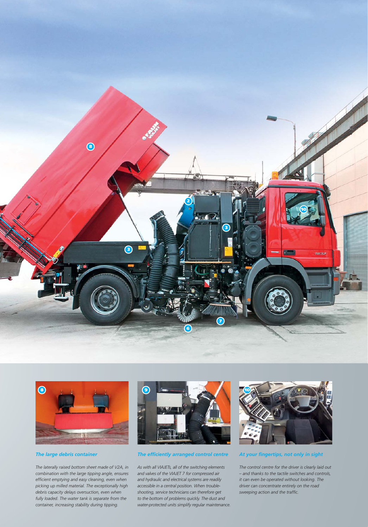



#### *The large debris container*

*The laterally raised bottom sheet made of V2A, in combination with the large tipping angle, ensures efficient emptying and easy cleaning, even when picking up milled material. The exceptionally high debris capacity delays oversuction, even when fully loaded. The water tank is separate from the container, increasing stability during tipping.* 



#### *The efficiently arranged control centre*

*As with all VIAJETs, all of the switching elements and valves of the VIAJET 7 for compressed air and hydraulic and electrical systems are readily accessible in a central position. When troubleshooting, service technicians can therefore get to the bottom of problems quickly. The dust and water-protected units simplify regular maintenance.* 



#### *At your fingertips, not only in sight*

*The control centre for the driver is clearly laid out – and thanks to the tactile switches and controls, it can even be operated without looking. The driver can concentrate entirely on the road sweeping action and the traffic.*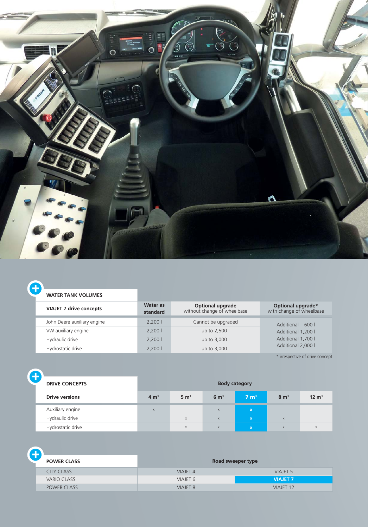

#### **WATER TANK VOLUMES**

Ŧ

| <b>VIAJET 7 drive concepts</b> | Water as<br>standard | <b>Optional upgrade</b><br>without change of wheelbase | Optional upgrade*<br>with change of wheelbase |  |
|--------------------------------|----------------------|--------------------------------------------------------|-----------------------------------------------|--|
| John Deere auxiliary engine    | 2,2001               | Cannot be upgraded                                     | Additional 600 l<br>Additional 1,200 l        |  |
| VW auxiliary engine            | 2,2001               | up to 2,500 l                                          |                                               |  |
| Hydraulic drive                | 2.2001               | up to 3,000 l                                          | Additional 1,700 l                            |  |
| Hydrostatic drive              | 2.2001               | up to 3,000 l                                          | Additional 2,000 l                            |  |

\* irrespective of drive concept

| <b>DRIVE CONCEPTS</b> | <b>Body category</b> |                 |                 |                 |                 |                  |
|-----------------------|----------------------|-----------------|-----------------|-----------------|-----------------|------------------|
| <b>Drive versions</b> | 4 m <sup>3</sup>     | $5 \text{ m}^3$ | $6 \text{ m}^3$ | $7 \text{ m}^3$ | $8 \text{ m}^3$ | $12 \text{ m}^3$ |
| Auxiliary engine      | $\mathsf X$          |                 | $\times$        | $\mathbf x$     |                 |                  |
| Hydraulic drive       |                      | $\mathsf{X}$    | $\mathsf{x}$    | $\mathbf x$     | $\times$        |                  |
| Hydrostatic drive     |                      | $\times$        | $\mathsf{x}$    | $\mathbf x$     | $\mathsf{X}$    | $\times$         |

| <b>POWER CLASS</b> | Road sweeper type   |                  |  |  |  |
|--------------------|---------------------|------------------|--|--|--|
| <b>CITY CLASS</b>  | <b>VIAJET 4</b>     | <b>VIAJET 5</b>  |  |  |  |
| <b>VARIO CLASS</b> | VIAJET <sub>6</sub> | <b>VIAJET 7</b>  |  |  |  |
| POWER CLASS        | <b>VIAJET 8</b>     | <b>VIAJET 12</b> |  |  |  |